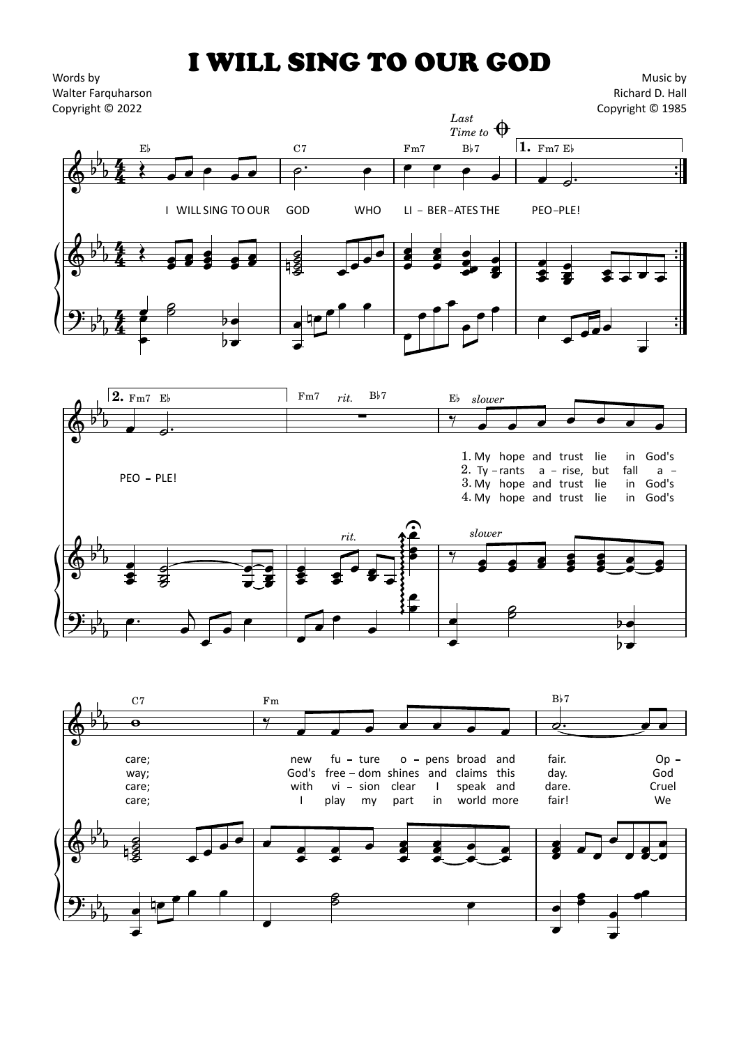## I WILL SING TO OUR GOD

Words by Walter Farquharson Copyright © 2022

Music by Richard D. Hall Copyright © 1985







 $a$ in God's in God's in God's fall 1. My hope and trust lie 2. Ty – rants  $a$  – rise, but 3. My hope and trust lie 4. My hope and trust lie